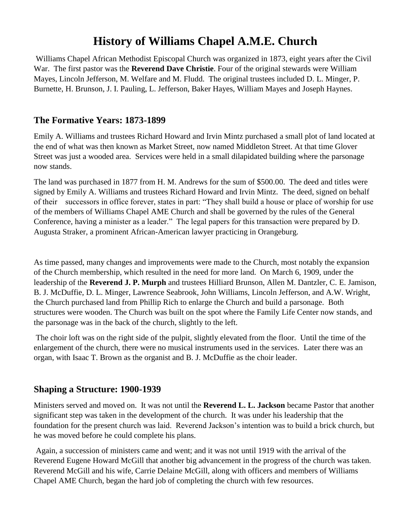# **History of Williams Chapel A.M.E. Church**

Williams Chapel African Methodist Episcopal Church was organized in 1873, eight years after the Civil War. The first pastor was the **Reverend Dave Christie**. Four of the original stewards were William Mayes, Lincoln Jefferson, M. Welfare and M. Fludd. The original trustees included D. L. Minger, P. Burnette, H. Brunson, J. I. Pauling, L. Jefferson, Baker Hayes, William Mayes and Joseph Haynes.

### **The Formative Years: 1873-1899**

Emily A. Williams and trustees Richard Howard and Irvin Mintz purchased a small plot of land located at the end of what was then known as Market Street, now named Middleton Street. At that time Glover Street was just a wooded area. Services were held in a small dilapidated building where the parsonage now stands.

The land was purchased in 1877 from H. M. Andrews for the sum of \$500.00. The deed and titles were signed by Emily A. Williams and trustees Richard Howard and Irvin Mintz. The deed, signed on behalf of their successors in office forever, states in part: "They shall build a house or place of worship for use of the members of Williams Chapel AME Church and shall be governed by the rules of the General Conference, having a minister as a leader." The legal papers for this transaction were prepared by D. Augusta Straker, a prominent African-American lawyer practicing in Orangeburg.

As time passed, many changes and improvements were made to the Church, most notably the expansion of the Church membership, which resulted in the need for more land. On March 6, 1909, under the leadership of the **Reverend J. P. Murph** and trustees Hilliard Brunson, Allen M. Dantzler, C. E. Jamison, B. J. McDuffie, D. L. Minger, Lawrence Seabrook, John Williams, Lincoln Jefferson, and A.W. Wright, the Church purchased land from Phillip Rich to enlarge the Church and build a parsonage. Both structures were wooden. The Church was built on the spot where the Family Life Center now stands, and the parsonage was in the back of the church, slightly to the left.

The choir loft was on the right side of the pulpit, slightly elevated from the floor. Until the time of the enlargement of the church, there were no musical instruments used in the services. Later there was an organ, with Isaac T. Brown as the organist and B. J. McDuffie as the choir leader.

### **Shaping a Structure: 1900-1939**

Ministers served and moved on. It was not until the **Reverend L. L. Jackson** became Pastor that another significant step was taken in the development of the church. It was under his leadership that the foundation for the present church was laid. Reverend Jackson's intention was to build a brick church, but he was moved before he could complete his plans.

Again, a succession of ministers came and went; and it was not until 1919 with the arrival of the Reverend Eugene Howard McGill that another big advancement in the progress of the church was taken. Reverend McGill and his wife, Carrie Delaine McGill, along with officers and members of Williams Chapel AME Church, began the hard job of completing the church with few resources.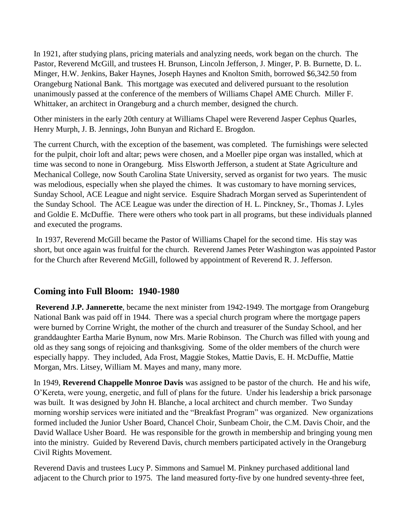In 1921, after studying plans, pricing materials and analyzing needs, work began on the church. The Pastor, Reverend McGill, and trustees H. Brunson, Lincoln Jefferson, J. Minger, P. B. Burnette, D. L. Minger, H.W. Jenkins, Baker Haynes, Joseph Haynes and Knolton Smith, borrowed \$6,342.50 from Orangeburg National Bank. This mortgage was executed and delivered pursuant to the resolution unanimously passed at the conference of the members of Williams Chapel AME Church. Miller F. Whittaker, an architect in Orangeburg and a church member, designed the church.

Other ministers in the early 20th century at Williams Chapel were Reverend Jasper Cephus Quarles, Henry Murph, J. B. Jennings, John Bunyan and Richard E. Brogdon.

The current Church, with the exception of the basement, was completed. The furnishings were selected for the pulpit, choir loft and altar; pews were chosen, and a Moeller pipe organ was installed, which at time was second to none in Orangeburg. Miss Elsworth Jefferson, a student at State Agriculture and Mechanical College, now South Carolina State University, served as organist for two years. The music was melodious, especially when she played the chimes. It was customary to have morning services, Sunday School, ACE League and night service. Esquire Shadrach Morgan served as Superintendent of the Sunday School. The ACE League was under the direction of H. L. Pinckney, Sr., Thomas J. Lyles and Goldie E. McDuffie. There were others who took part in all programs, but these individuals planned and executed the programs.

In 1937, Reverend McGill became the Pastor of Williams Chapel for the second time. His stay was short, but once again was fruitful for the church. Reverend James Peter Washington was appointed Pastor for the Church after Reverend McGill, followed by appointment of Reverend R. J. Jefferson.

### **Coming into Full Bloom: 1940-1980**

**Reverend J.P. Jannerette**, became the next minister from 1942-1949. The mortgage from Orangeburg National Bank was paid off in 1944. There was a special church program where the mortgage papers were burned by Corrine Wright, the mother of the church and treasurer of the Sunday School, and her granddaughter Eartha Marie Bynum, now Mrs. Marie Robinson. The Church was filled with young and old as they sang songs of rejoicing and thanksgiving. Some of the older members of the church were especially happy. They included, Ada Frost, Maggie Stokes, Mattie Davis, E. H. McDuffie, Mattie Morgan, Mrs. Litsey, William M. Mayes and many, many more.

In 1949, **Reverend Chappelle Monroe Davis** was assigned to be pastor of the church. He and his wife, O'Kereta, were young, energetic, and full of plans for the future. Under his leadership a brick parsonage was built. It was designed by John H. Blanche, a local architect and church member. Two Sunday morning worship services were initiated and the "Breakfast Program" was organized. New organizations formed included the Junior Usher Board, Chancel Choir, Sunbeam Choir, the C.M. Davis Choir, and the David Wallace Usher Board. He was responsible for the growth in membership and bringing young men into the ministry. Guided by Reverend Davis, church members participated actively in the Orangeburg Civil Rights Movement.

Reverend Davis and trustees Lucy P. Simmons and Samuel M. Pinkney purchased additional land adjacent to the Church prior to 1975. The land measured forty-five by one hundred seventy-three feet,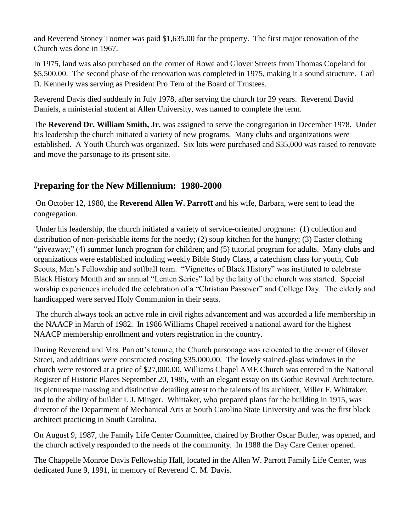and Reverend Stoney Toomer was paid \$1,635.00 for the property. The first major renovation of the Church was done in 1967.

In 1975, land was also purchased on the corner of Rowe and Glover Streets from Thomas Copeland for \$5,500.00. The second phase of the renovation was completed in 1975, making it a sound structure. Carl D. Kennerly was serving as President Pro Tem of the Board of Trustees.

Reverend Davis died suddenly in July 1978, after serving the church for 29 years. Reverend David Daniels, a ministerial student at Allen University, was named to complete the term.

The **Reverend Dr. William Smith, Jr.** was assigned to serve the congregation in December 1978. Under his leadership the church initiated a variety of new programs. Many clubs and organizations were established. A Youth Church was organized. Six lots were purchased and \$35,000 was raised to renovate and move the parsonage to its present site.

# **Preparing for the New Millennium: 1980-2000**

On October 12, 1980, the **Reverend Allen W. Parrot**t and his wife, Barbara, were sent to lead the congregation.

Under his leadership, the church initiated a variety of service-oriented programs: (1) collection and distribution of non-perishable items for the needy; (2) soup kitchen for the hungry; (3) Easter clothing "giveaway;" (4) summer lunch program for children; and (5) tutorial program for adults. Many clubs and organizations were established including weekly Bible Study Class, a catechism class for youth, Cub Scouts, Men's Fellowship and softball team. "Vignettes of Black History" was instituted to celebrate Black History Month and an annual "Lenten Series" led by the laity of the church was started. Special worship experiences included the celebration of a "Christian Passover" and College Day. The elderly and handicapped were served Holy Communion in their seats.

The church always took an active role in civil rights advancement and was accorded a life membership in the NAACP in March of 1982. In 1986 Williams Chapel received a national award for the highest NAACP membership enrollment and voters registration in the country.

During Reverend and Mrs. Parrott's tenure, the Church parsonage was relocated to the corner of Glover Street, and additions were constructed costing \$35,000.00. The lovely stained-glass windows in the church were restored at a price of \$27,000.00. Williams Chapel AME Church was entered in the National Register of Historic Places September 20, 1985, with an elegant essay on its Gothic Revival Architecture. Its picturesque massing and distinctive detailing attest to the talents of its architect, Miller F. Whittaker, and to the ability of builder I. J. Minger. Whittaker, who prepared plans for the building in 1915, was director of the Department of Mechanical Arts at South Carolina State University and was the first black architect practicing in South Carolina.

On August 9, 1987, the Family Life Center Committee, chaired by Brother Oscar Butler, was opened, and the church actively responded to the needs of the community. In 1988 the Day Care Center opened.

The Chappelle Monroe Davis Fellowship Hall, located in the Allen W. Parrott Family Life Center, was dedicated June 9, 1991, in memory of Reverend C. M. Davis.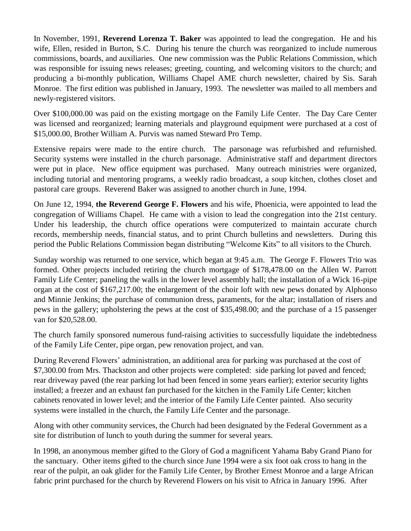In November, 1991, **Reverend Lorenza T. Baker** was appointed to lead the congregation. He and his wife, Ellen, resided in Burton, S.C. During his tenure the church was reorganized to include numerous commissions, boards, and auxiliaries. One new commission was the Public Relations Commission, which was responsible for issuing news releases; greeting, counting, and welcoming visitors to the church; and producing a bi-monthly publication, Williams Chapel AME church newsletter, chaired by Sis. Sarah Monroe. The first edition was published in January, 1993. The newsletter was mailed to all members and newly-registered visitors.

Over \$100,000.00 was paid on the existing mortgage on the Family Life Center. The Day Care Center was licensed and reorganized; learning materials and playground equipment were purchased at a cost of \$15,000.00, Brother William A. Purvis was named Steward Pro Temp.

Extensive repairs were made to the entire church. The parsonage was refurbished and refurnished. Security systems were installed in the church parsonage. Administrative staff and department directors were put in place. New office equipment was purchased. Many outreach ministries were organized, including tutorial and mentoring programs, a weekly radio broadcast, a soup kitchen, clothes closet and pastoral care groups. Reverend Baker was assigned to another church in June, 1994.

On June 12, 1994, **the Reverend George F. Flowers** and his wife, Phoenicia, were appointed to lead the congregation of Williams Chapel. He came with a vision to lead the congregation into the 21st century. Under his leadership, the church office operations were computerized to maintain accurate church records, membership needs, financial status, and to print Church bulletins and newsletters. During this period the Public Relations Commission began distributing "Welcome Kits" to all visitors to the Church.

Sunday worship was returned to one service, which began at 9:45 a.m. The George F. Flowers Trio was formed. Other projects included retiring the church mortgage of \$178,478.00 on the Allen W. Parrott Family Life Center; paneling the walls in the lower level assembly hall; the installation of a Wick 16-pipe organ at the cost of \$167,217.00; the enlargement of the choir loft with new pews donated by Alphonso and Minnie Jenkins; the purchase of communion dress, paraments, for the altar; installation of risers and pews in the gallery; upholstering the pews at the cost of \$35,498.00; and the purchase of a 15 passenger van for \$20,528.00.

The church family sponsored numerous fund-raising activities to successfully liquidate the indebtedness of the Family Life Center, pipe organ, pew renovation project, and van.

During Reverend Flowers' administration, an additional area for parking was purchased at the cost of \$7,300.00 from Mrs. Thackston and other projects were completed: side parking lot paved and fenced; rear driveway paved (the rear parking lot had been fenced in some years earlier); exterior security lights installed; a freezer and an exhaust fan purchased for the kitchen in the Family Life Center; kitchen cabinets renovated in lower level; and the interior of the Family Life Center painted. Also security systems were installed in the church, the Family Life Center and the parsonage.

Along with other community services, the Church had been designated by the Federal Government as a site for distribution of lunch to youth during the summer for several years.

In 1998, an anonymous member gifted to the Glory of God a magnificent Yahama Baby Grand Piano for the sanctuary. Other items gifted to the church since June 1994 were a six foot oak cross to hang in the rear of the pulpit, an oak glider for the Family Life Center, by Brother Ernest Monroe and a large African fabric print purchased for the church by Reverend Flowers on his visit to Africa in January 1996. After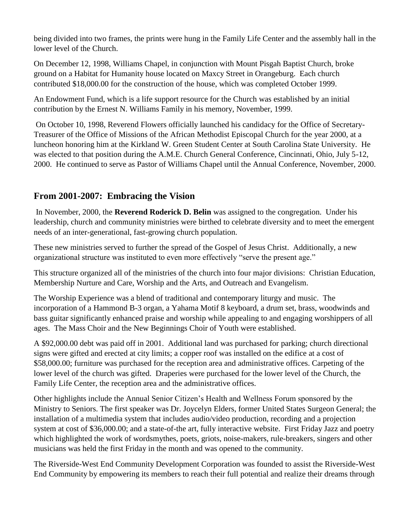being divided into two frames, the prints were hung in the Family Life Center and the assembly hall in the lower level of the Church.

On December 12, 1998, Williams Chapel, in conjunction with Mount Pisgah Baptist Church, broke ground on a Habitat for Humanity house located on Maxcy Street in Orangeburg. Each church contributed \$18,000.00 for the construction of the house, which was completed October 1999.

An Endowment Fund, which is a life support resource for the Church was established by an initial contribution by the Ernest N. Williams Family in his memory, November, 1999.

On October 10, 1998, Reverend Flowers officially launched his candidacy for the Office of Secretary-Treasurer of the Office of Missions of the African Methodist Episcopal Church for the year 2000, at a luncheon honoring him at the Kirkland W. Green Student Center at South Carolina State University. He was elected to that position during the A.M.E. Church General Conference, Cincinnati, Ohio, July 5-12, 2000. He continued to serve as Pastor of Williams Chapel until the Annual Conference, November, 2000.

## **From 2001-2007: Embracing the Vision**

In November, 2000, the **Reverend Roderick D. Belin** was assigned to the congregation. Under his leadership, church and community ministries were birthed to celebrate diversity and to meet the emergent needs of an inter-generational, fast-growing church population.

These new ministries served to further the spread of the Gospel of Jesus Christ. Additionally, a new organizational structure was instituted to even more effectively "serve the present age."

This structure organized all of the ministries of the church into four major divisions: Christian Education, Membership Nurture and Care, Worship and the Arts, and Outreach and Evangelism.

The Worship Experience was a blend of traditional and contemporary liturgy and music. The incorporation of a Hammond B-3 organ, a Yahama Motif 8 keyboard, a drum set, brass, woodwinds and bass guitar significantly enhanced praise and worship while appealing to and engaging worshippers of all ages. The Mass Choir and the New Beginnings Choir of Youth were established.

A \$92,000.00 debt was paid off in 2001. Additional land was purchased for parking; church directional signs were gifted and erected at city limits; a copper roof was installed on the edifice at a cost of \$58,000.00; furniture was purchased for the reception area and administrative offices. Carpeting of the lower level of the church was gifted. Draperies were purchased for the lower level of the Church, the Family Life Center, the reception area and the administrative offices.

Other highlights include the Annual Senior Citizen's Health and Wellness Forum sponsored by the Ministry to Seniors. The first speaker was Dr. Joycelyn Elders, former United States Surgeon General; the installation of a multimedia system that includes audio/video production, recording and a projection system at cost of \$36,000.00; and a state-of-the art, fully interactive website. First Friday Jazz and poetry which highlighted the work of wordsmythes, poets, griots, noise-makers, rule-breakers, singers and other musicians was held the first Friday in the month and was opened to the community.

The Riverside-West End Community Development Corporation was founded to assist the Riverside-West End Community by empowering its members to reach their full potential and realize their dreams through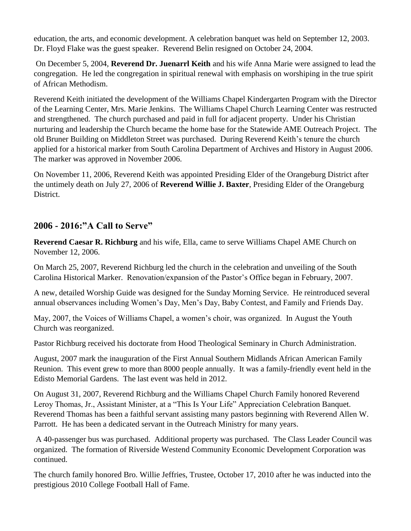education, the arts, and economic development. A celebration banquet was held on September 12, 2003. Dr. Floyd Flake was the guest speaker. Reverend Belin resigned on October 24, 2004.

On December 5, 2004, **Reverend Dr. Juenarrl Keith** and his wife Anna Marie were assigned to lead the congregation. He led the congregation in spiritual renewal with emphasis on worshiping in the true spirit of African Methodism.

Reverend Keith initiated the development of the Williams Chapel Kindergarten Program with the Director of the Learning Center, Mrs. Marie Jenkins. The Williams Chapel Church Learning Center was restructed and strengthened. The church purchased and paid in full for adjacent property. Under his Christian nurturing and leadership the Church became the home base for the Statewide AME Outreach Project. The old Bruner Building on Middleton Street was purchased. During Reverend Keith's tenure the church applied for a historical marker from South Carolina Department of Archives and History in August 2006. The marker was approved in November 2006.

On November 11, 2006, Reverend Keith was appointed Presiding Elder of the Orangeburg District after the untimely death on July 27, 2006 of **Reverend Willie J. Baxter**, Presiding Elder of the Orangeburg District.

## **2006 - 2016:"A Call to Serve"**

**Reverend Caesar R. Richburg** and his wife, Ella, came to serve Williams Chapel AME Church on November 12, 2006.

On March 25, 2007, Reverend Richburg led the church in the celebration and unveiling of the South Carolina Historical Marker. Renovation/expansion of the Pastor's Office began in February, 2007.

A new, detailed Worship Guide was designed for the Sunday Morning Service. He reintroduced several annual observances including Women's Day, Men's Day, Baby Contest, and Family and Friends Day.

May, 2007, the Voices of Williams Chapel, a women's choir, was organized. In August the Youth Church was reorganized.

Pastor Richburg received his doctorate from Hood Theological Seminary in Church Administration.

August, 2007 mark the inauguration of the First Annual Southern Midlands African American Family Reunion. This event grew to more than 8000 people annually. It was a family-friendly event held in the Edisto Memorial Gardens. The last event was held in 2012.

On August 31, 2007, Reverend Richburg and the Williams Chapel Church Family honored Reverend Leroy Thomas, Jr., Assistant Minister, at a "This Is Your Life" Appreciation Celebration Banquet. Reverend Thomas has been a faithful servant assisting many pastors beginning with Reverend Allen W. Parrott. He has been a dedicated servant in the Outreach Ministry for many years.

A 40-passenger bus was purchased. Additional property was purchased. The Class Leader Council was organized. The formation of Riverside Westend Community Economic Development Corporation was continued.

The church family honored Bro. Willie Jeffries, Trustee, October 17, 2010 after he was inducted into the prestigious 2010 College Football Hall of Fame.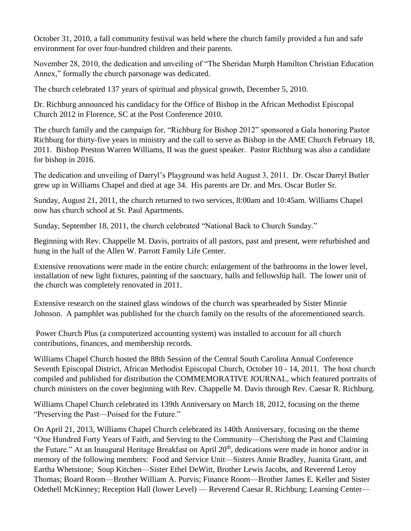October 31, 2010, a fall community festival was held where the church family provided a fun and safe environment for over four-hundred children and their parents.

November 28, 2010, the dedication and unveiling of "The Sheridan Murph Hamilton Christian Education Annex," formally the church parsonage was dedicated.

The church celebrated 137 years of spiritual and physical growth, December 5, 2010.

Dr. Richburg announced his candidacy for the Office of Bishop in the African Methodist Episcopal Church 2012 in Florence, SC at the Post Conference 2010.

The church family and the campaign for, "Richburg for Bishop 2012" sponsored a Gala honoring Pastor Richburg for thirty-five years in ministry and the call to serve as Bishop in the AME Church February 18, 2011. Bishop Preston Warren Williams, II was the guest speaker. Pastor Richburg was also a candidate for bishop in 2016.

The dedication and unveiling of Darryl's Playground was held August 3, 2011. Dr. Oscar Darryl Butler grew up in Williams Chapel and died at age 34. His parents are Dr. and Mrs. Oscar Butler Sr.

Sunday, August 21, 2011, the church returned to two services, 8:00am and 10:45am. Williams Chapel now has church school at St. Paul Apartments.

Sunday, September 18, 2011, the church celebrated "National Back to Church Sunday."

Beginning with Rev. Chappelle M. Davis, portraits of all pastors, past and present, were refurbished and hung in the hall of the Allen W. Parrott Family Life Center.

Extensive renovations were made in the entire church: enlargement of the bathrooms in the lower level, installation of new light fixtures, painting of the sanctuary, halls and fellowship hall. The lower unit of the church was completely renovated in 2011.

Extensive research on the stained glass windows of the church was spearheaded by Sister Minnie Johnson. A pamphlet was published for the church family on the results of the aforementioned search.

Power Church Plus (a computerized accounting system) was installed to account for all church contributions, finances, and membership records.

Williams Chapel Church hosted the 88th Session of the Central South Carolina Annual Conference Seventh Episcopal District, African Methodist Episcopal Church, October 10 - 14, 2011. The host church compiled and published for distribution the COMMEMORATIVE JOURNAL, which featured portraits of church ministers on the cover beginning with Rev. Chappelle M. Davis through Rev. Caesar R. Richburg.

Williams Chapel Church celebrated its 139th Anniversary on March 18, 2012, focusing on the theme "Preserving the Past—Poised for the Future."

On April 21, 2013, Williams Chapel Church celebrated its 140th Anniversary, focusing on the theme "One Hundred Forty Years of Faith, and Serving to the Community—Cherishing the Past and Claiming the Future." At an Inaugural Heritage Breakfast on April 20<sup>th</sup>, dedications were made in honor and/or in memory of the following members: Food and Service Unit—Sisters Annie Bradley, Juanita Grant, and Eartha Whetstone; Soup Kitchen—Sister Ethel DeWitt, Brother Lewis Jacobs, and Reverend Leroy Thomas; Board Room—Brother William A. Purvis; Finance Room—Brother James E. Keller and Sister Odethell McKinney; Reception Hall (lower Level) — Reverend Caesar R. Richburg; Learning Center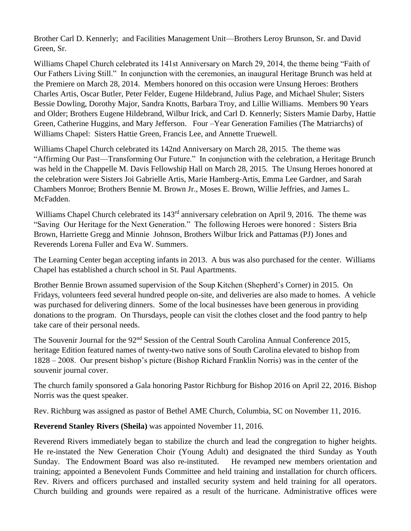Brother Carl D. Kennerly; and Facilities Management Unit—Brothers Leroy Brunson, Sr. and David Green, Sr.

Williams Chapel Church celebrated its 141st Anniversary on March 29, 2014, the theme being "Faith of Our Fathers Living Still." In conjunction with the ceremonies, an inaugural Heritage Brunch was held at the Premiere on March 28, 2014. Members honored on this occasion were Unsung Heroes: Brothers Charles Artis, Oscar Butler, Peter Felder, Eugene Hildebrand, Julius Page, and Michael Shuler; Sisters Bessie Dowling, Dorothy Major, Sandra Knotts, Barbara Troy, and Lillie Williams. Members 90 Years and Older; Brothers Eugene Hildebrand, Wilbur Irick, and Carl D. Kennerly; Sisters Mamie Darby, Hattie Green, Catherine Huggins, and Mary Jefferson. Four –Year Generation Families (The Matriarchs) of Williams Chapel: Sisters Hattie Green, Francis Lee, and Annette Truewell.

Williams Chapel Church celebrated its 142nd Anniversary on March 28, 2015. The theme was "Affirming Our Past—Transforming Our Future." In conjunction with the celebration, a Heritage Brunch was held in the Chappelle M. Davis Fellowship Hall on March 28, 2015. The Unsung Heroes honored at the celebration were Sisters Joi Gabrielle Artis, Marie Hamberg-Artis, Emma Lee Gardner, and Sarah Chambers Monroe; Brothers Bennie M. Brown Jr., Moses E. Brown, Willie Jeffries, and James L. McFadden.

Williams Chapel Church celebrated its 143<sup>rd</sup> anniversary celebration on April 9, 2016. The theme was "Saving Our Heritage for the Next Generation." The following Heroes were honored : Sisters Bria Brown, Harriette Gregg and Minnie Johnson, Brothers Wilbur Irick and Pattamas (PJ) Jones and Reverends Lorena Fuller and Eva W. Summers.

The Learning Center began accepting infants in 2013. A bus was also purchased for the center. Williams Chapel has established a church school in St. Paul Apartments.

Brother Bennie Brown assumed supervision of the Soup Kitchen (Shepherd's Corner) in 2015. On Fridays, volunteers feed several hundred people on-site, and deliveries are also made to homes. A vehicle was purchased for delivering dinners. Some of the local businesses have been generous in providing donations to the program. On Thursdays, people can visit the clothes closet and the food pantry to help take care of their personal needs.

The Souvenir Journal for the 92<sup>nd</sup> Session of the Central South Carolina Annual Conference 2015, heritage Edition featured names of twenty-two native sons of South Carolina elevated to bishop from 1828 – 2008. Our present bishop's picture (Bishop Richard Franklin Norris) was in the center of the souvenir journal cover.

The church family sponsored a Gala honoring Pastor Richburg for Bishop 2016 on April 22, 2016. Bishop Norris was the quest speaker.

Rev. Richburg was assigned as pastor of Bethel AME Church, Columbia, SC on November 11, 2016.

**Reverend Stanley Rivers (Sheila)** was appointed November 11, 2016.

Reverend Rivers immediately began to stabilize the church and lead the congregation to higher heights. He re-instated the New Generation Choir (Young Adult) and designated the third Sunday as Youth Sunday. The Endowment Board was also re-instituted. He revamped new members orientation and training; appointed a Benevolent Funds Committee and held training and installation for church officers. Rev. Rivers and officers purchased and installed security system and held training for all operators. Church building and grounds were repaired as a result of the hurricane. Administrative offices were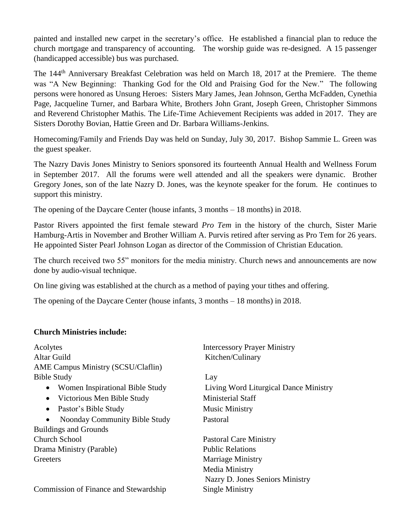painted and installed new carpet in the secretary's office. He established a financial plan to reduce the church mortgage and transparency of accounting. The worship guide was re-designed. A 15 passenger (handicapped accessible) bus was purchased.

The 144<sup>th</sup> Anniversary Breakfast Celebration was held on March 18, 2017 at the Premiere. The theme was "A New Beginning: Thanking God for the Old and Praising God for the New." The following persons were honored as Unsung Heroes: Sisters Mary James, Jean Johnson, Gertha McFadden, Cynethia Page, Jacqueline Turner, and Barbara White, Brothers John Grant, Joseph Green, Christopher Simmons and Reverend Christopher Mathis. The Life-Time Achievement Recipients was added in 2017. They are Sisters Dorothy Bovian, Hattie Green and Dr. Barbara Williams-Jenkins.

Homecoming/Family and Friends Day was held on Sunday, July 30, 2017. Bishop Sammie L. Green was the guest speaker.

The Nazry Davis Jones Ministry to Seniors sponsored its fourteenth Annual Health and Wellness Forum in September 2017. All the forums were well attended and all the speakers were dynamic. Brother Gregory Jones, son of the late Nazry D. Jones, was the keynote speaker for the forum. He continues to support this ministry.

The opening of the Daycare Center (house infants, 3 months – 18 months) in 2018.

Pastor Rivers appointed the first female steward *Pro Tem* in the history of the church, Sister Marie Hamburg-Artis in November and Brother William A. Purvis retired after serving as Pro Tem for 26 years. He appointed Sister Pearl Johnson Logan as director of the Commission of Christian Education.

The church received two 55" monitors for the media ministry. Church news and announcements are now done by audio-visual technique.

On line giving was established at the church as a method of paying your tithes and offering.

The opening of the Daycare Center (house infants, 3 months – 18 months) in 2018.

#### **Church Ministries include:**

| Acolytes                                     | <b>Intercessory Prayer Ministry</b>   |
|----------------------------------------------|---------------------------------------|
| Altar Guild                                  | Kitchen/Culinary                      |
| <b>AME Campus Ministry (SCSU/Claflin)</b>    |                                       |
| <b>Bible Study</b>                           | Lay                                   |
| Women Inspirational Bible Study              | Living Word Liturgical Dance Ministry |
| Victorious Men Bible Study<br>$\bullet$      | Ministerial Staff                     |
| Pastor's Bible Study<br>$\bullet$            | <b>Music Ministry</b>                 |
| Noonday Community Bible Study<br>$\bullet$   | Pastoral                              |
| <b>Buildings and Grounds</b>                 |                                       |
| <b>Church School</b>                         | <b>Pastoral Care Ministry</b>         |
| Drama Ministry (Parable)                     | <b>Public Relations</b>               |
| Greeters                                     | <b>Marriage Ministry</b>              |
|                                              | Media Ministry                        |
|                                              | Nazry D. Jones Seniors Ministry       |
| <b>Commission of Finance and Stewardship</b> | Single Ministry                       |